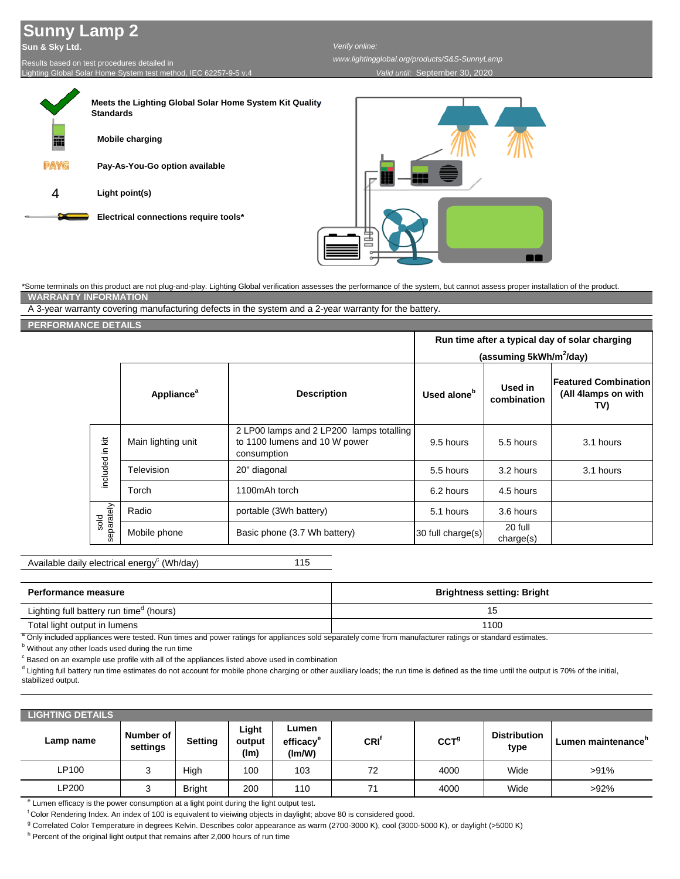## **Sunny Lamp 2**

**Sun & Sky Ltd.**

Results based on test procedures detailed in ighting Global Solar Home System test method, IEC 62257-9-5 v.4 *Verify online:* 

*Valid until:* September 30, 2020 *www.lightingglobal.org/products/S&S-SunnyLamp*





\*Some terminals on this product are not plug-and-play. Lighting Global verification assesses the performance of the system, but cannot assess proper installation of the product. **WARRANTY INFORMATION**

A 3-year warranty covering manufacturing defects in the system and a 2-year warranty for the battery.

**PERFORMANCE DETAILS**

|                    |                               |                                                                                          | Run time after a typical day of solar charging |                        |                                                    |
|--------------------|-------------------------------|------------------------------------------------------------------------------------------|------------------------------------------------|------------------------|----------------------------------------------------|
|                    |                               |                                                                                          | (assuming 5kWh/m <sup>2</sup> /day)            |                        |                                                    |
|                    | <b>Appliance</b> <sup>a</sup> | <b>Description</b>                                                                       | Used alone <sup>b</sup>                        | Used in<br>combination | Featured Combination<br>(All 4lamps on with<br>TV) |
| included in kit    | Main lighting unit            | 2 LP00 lamps and 2 LP200 lamps totalling<br>to 1100 lumens and 10 W power<br>consumption | 9.5 hours                                      | 5.5 hours              | 3.1 hours                                          |
|                    | Television                    | 20" diagonal                                                                             | 5.5 hours                                      | 3.2 hours              | 3.1 hours                                          |
|                    | Torch                         | 1100mAh torch                                                                            | 6.2 hours                                      | 4.5 hours              |                                                    |
| separately<br>sold | Radio                         | portable (3Wh battery)                                                                   | 5.1 hours                                      | 3.6 hours              |                                                    |
|                    | Mobile phone                  | Basic phone (3.7 Wh battery)                                                             | 30 full charge(s)                              | 20 full<br>charge(s)   |                                                    |

115 Available daily electrical energy<sup>c</sup> (Wh/day)

| Performance measure                                 | <b>Brightness setting: Bright</b> |
|-----------------------------------------------------|-----------------------------------|
| Lighting full battery run time <sup>o</sup> (hours) |                                   |
| Total light output in lumens                        | 1100                              |

<sup>a</sup> Only included appliances were tested. Run times and power ratings for appliances sold separately come from manufacturer ratings or standard estimates.

**b** Without any other loads used during the run time

 $\textdegree$  Based on an example use profile with all of the appliances listed above used in combination

<sup>d</sup> Lighting full battery run time estimates do not account for mobile phone charging or other auxiliary loads; the run time is defined as the time until the output is 70% of the initial, stabilized output.

| <b>LIGHTING DETAILS</b> |                       |                |                         |                                          |                  |                  |                             |                                |
|-------------------------|-----------------------|----------------|-------------------------|------------------------------------------|------------------|------------------|-----------------------------|--------------------------------|
| Lamp name               | Number of<br>settings | <b>Setting</b> | Light<br>output<br>(lm) | Lumen<br>efficacy <sup>e</sup><br>(lm/W) | CRI <sup>t</sup> | CCT <sup>g</sup> | <b>Distribution</b><br>type | Lumen maintenance <sup>h</sup> |
| LP100                   | ົ                     | High           | 100                     | 103                                      | 72               | 4000             | Wide                        | >91%                           |
| LP200                   |                       | <b>Bright</b>  | 200                     | 110                                      | 71               | 4000             | Wide                        | $>92\%$                        |

<sup>e</sup> Lumen efficacy is the power consumption at a light point during the light output test.

 ${}^{\text{f}}$ Color Rendering Index. An index of 100 is equivalent to vieiwing objects in daylight; above 80 is considered good.

<sup>g</sup> Correlated Color Temperature in degrees Kelvin. Describes color appearance as warm (2700-3000 K), cool (3000-5000 K), or daylight (>5000 K)

<sup>h</sup> Percent of the original light output that remains after 2,000 hours of run time